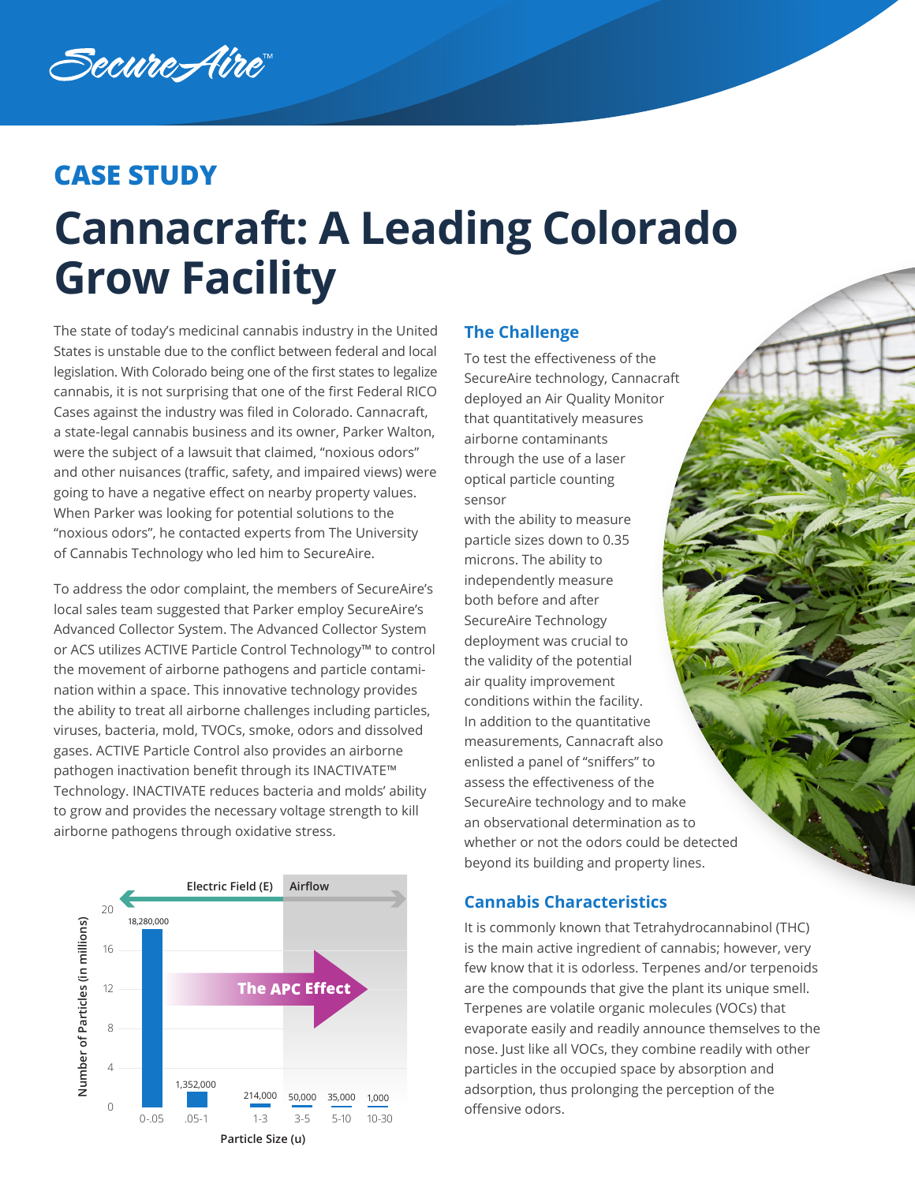Secure*A*ire

## **CASE STUDY**

# **Cannacraft: A Leading Colorado Grow Facility**

The state of today's medicinal cannabis industry in the United States is unstable due to the conflict between federal and local legislation. With Colorado being one of the first states to legalize cannabis, it is not surprising that one of the first Federal RICO Cases against the industry was filed in Colorado. Cannacraft, a state-legal cannabis business and its owner, Parker Walton, were the subject of a lawsuit that claimed, "noxious odors" and other nuisances (traffic, safety, and impaired views) were going to have a negative effect on nearby property values. When Parker was looking for potential solutions to the "noxious odors", he contacted experts from The University of Cannabis Technology who led him to SecureAire.

To address the odor complaint, the members of SecureAire's local sales team suggested that Parker employ SecureAire's Advanced Collector System. The Advanced Collector System or ACS utilizes ACTIVE Particle Control Technology™ to control the movement of airborne pathogens and particle contamination within a space. This innovative technology provides the ability to treat all airborne challenges including particles, viruses, bacteria, mold, TVOCs, smoke, odors and dissolved gases. ACTIVE Particle Control also provides an airborne pathogen inactivation benefit through its INACTIVATE™ Technology. INACTIVATE reduces bacteria and molds' ability to grow and provides the necessary voltage strength to kill airborne pathogens through oxidative stress.



### **The Challenge**

To test the effectiveness of the SecureAire technology, Cannacraft deployed an Air Quality Monitor that quantitatively measures airborne contaminants through the use of a laser optical particle counting sensor

with the ability to measure particle sizes down to 0.35 microns. The ability to independently measure both before and after SecureAire Technology deployment was crucial to the validity of the potential air quality improvement conditions within the facility. In addition to the quantitative measurements, Cannacraft also enlisted a panel of "sniffers" to assess the effectiveness of the SecureAire technology and to make an observational determination as to whether or not the odors could be detected beyond its building and property lines.

### **Cannabis Characteristics**

It is commonly known that Tetrahydrocannabinol (THC) is the main active ingredient of cannabis; however, very few know that it is odorless. Terpenes and/or terpenoids are the compounds that give the plant its unique smell. Terpenes are volatile organic molecules (VOCs) that evaporate easily and readily announce themselves to the nose. Just like all VOCs, they combine readily with other particles in the occupied space by absorption and adsorption, thus prolonging the perception of the offensive odors.